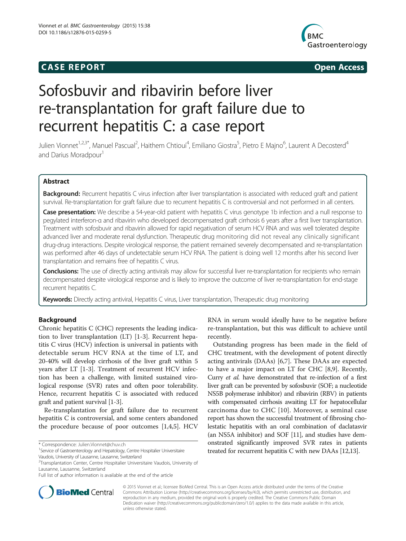# **CASE REPORT CASE REPORT**



# Sofosbuvir and ribavirin before liver re-transplantation for graft failure due to recurrent hepatitis C: a case report

Julien Vionnet<sup>1,2,3\*</sup>, Manuel Pascual<sup>2</sup>, Haithem Chtioui<sup>4</sup>, Emiliano Giostra<sup>5</sup>, Pietro E Majno<sup>6</sup>, Laurent A Decosterd<sup>4</sup> and Darius Moradpour<sup>1</sup>

# Abstract

Background: Recurrent hepatitis C virus infection after liver transplantation is associated with reduced graft and patient survival. Re-transplantation for graft failure due to recurrent hepatitis C is controversial and not performed in all centers.

**Case presentation:** We describe a 54-year-old patient with hepatitis C virus genotype 1b infection and a null response to pegylated interferon-α and ribavirin who developed decompensated graft cirrhosis 6 years after a first liver transplantation. Treatment with sofosbuvir and ribavirin allowed for rapid negativation of serum HCV RNA and was well tolerated despite advanced liver and moderate renal dysfunction. Therapeutic drug monitoring did not reveal any clinically significant drug-drug interactions. Despite virological response, the patient remained severely decompensated and re-transplantation was performed after 46 days of undetectable serum HCV RNA. The patient is doing well 12 months after his second liver transplantation and remains free of hepatitis C virus.

Conclusions: The use of directly acting antivirals may allow for successful liver re-transplantation for recipients who remain decompensated despite virological response and is likely to improve the outcome of liver re-transplantation for end-stage recurrent hepatitis C.

Keywords: Directly acting antiviral, Hepatitis C virus, Liver transplantation, Therapeutic drug monitoring

# Background

Chronic hepatitis C (CHC) represents the leading indication to liver transplantation (LT) [[1-3](#page-3-0)]. Recurrent hepatitis C virus (HCV) infection is universal in patients with detectable serum HCV RNA at the time of LT, and 20-40% will develop cirrhosis of the liver graft within 5 years after LT [\[1-3](#page-3-0)]. Treatment of recurrent HCV infection has been a challenge, with limited sustained virological response (SVR) rates and often poor tolerability. Hence, recurrent hepatitis C is associated with reduced graft and patient survival [\[1-3](#page-3-0)].

Re-transplantation for graft failure due to recurrent hepatitis C is controversial, and some centers abandoned the procedure because of poor outcomes [\[1,4,5](#page-3-0)]. HCV

Vaudois, University of Lausanne, Lausanne, Switzerland



Outstanding progress has been made in the field of CHC treatment, with the development of potent directly acting antivirals (DAAs) [[6](#page-3-0),[7](#page-3-0)]. These DAAs are expected to have a major impact on LT for CHC [\[8,9](#page-3-0)]. Recently, Curry et al. have demonstrated that re-infection of a first liver graft can be prevented by sofosbuvir (SOF; a nucleotide NS5B polymerase inhibitor) and ribavirin (RBV) in patients with compensated cirrhosis awaiting LT for hepatocellular carcinoma due to CHC [\[10](#page-3-0)]. Moreover, a seminal case report has shown the successful treatment of fibrosing cholestatic hepatitis with an oral combination of daclatasvir (an NS5A inhibitor) and SOF [\[11\]](#page-3-0), and studies have demonstrated significantly improved SVR rates in patients treated for recurrent hepatitis C with new DAAs [[12,13\]](#page-3-0).



© 2015 Vionnet et al.; licensee BioMed Central. This is an Open Access article distributed under the terms of the Creative Commons Attribution License [\(http://creativecommons.org/licenses/by/4.0\)](http://creativecommons.org/licenses/by/4.0), which permits unrestricted use, distribution, and reproduction in any medium, provided the original work is properly credited. The Creative Commons Public Domain Dedication waiver [\(http://creativecommons.org/publicdomain/zero/1.0/](http://creativecommons.org/publicdomain/zero/1.0/)) applies to the data made available in this article, unless otherwise stated.

<sup>\*</sup> Correspondence: [Julien.Vionnet@chuv.ch](mailto:Julien.Vionnet@chuv.ch) <sup>1</sup>

<sup>&</sup>lt;sup>1</sup> Service of Gastroenterology and Hepatology, Centre Hospitalier Universitaire

<sup>&</sup>lt;sup>2</sup>Transplantation Center, Centre Hospitalier Universitaire Vaudois, University of Lausanne, Lausanne, Switzerland

Full list of author information is available at the end of the article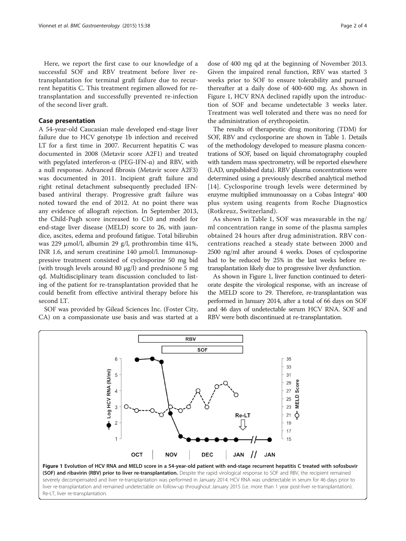Here, we report the first case to our knowledge of a successful SOF and RBV treatment before liver retransplantation for terminal graft failure due to recurrent hepatitis C. This treatment regimen allowed for retransplantation and successfully prevented re-infection of the second liver graft.

## Case presentation

A 54-year-old Caucasian male developed end-stage liver failure due to HCV genotype 1b infection and received LT for a first time in 2007. Recurrent hepatitis C was documented in 2008 (Metavir score A2F1) and treated with pegylated interferon- $\alpha$  (PEG-IFN- $\alpha$ ) and RBV, with a null response. Advanced fibrosis (Metavir score A2F3) was documented in 2011. Incipient graft failure and right retinal detachment subsequently precluded IFNbased antiviral therapy. Progressive graft failure was noted toward the end of 2012. At no point there was any evidence of allograft rejection. In September 2013, the Child-Pugh score increased to C10 and model for end-stage liver disease (MELD) score to 26, with jaundice, ascites, edema and profound fatigue. Total bilirubin was 229 μmol/l, albumin 29 g/l, prothrombin time 41%, INR 1.6, and serum creatinine 140 μmol/l. Immunosuppressive treatment consisted of cyclosporine 50 mg bid (with trough levels around 80 μg/l) and prednisone 5 mg qd. Multidisciplinary team discussion concluded to listing of the patient for re-transplantation provided that he could benefit from effective antiviral therapy before his second LT.

SOF was provided by Gilead Sciences Inc. (Foster City, CA) on a compassionate use basis and was started at a

dose of 400 mg qd at the beginning of November 2013. Given the impaired renal function, RBV was started 3 weeks prior to SOF to ensure tolerability and pursued thereafter at a daily dose of 400-600 mg. As shown in Figure 1, HCV RNA declined rapidly upon the introduction of SOF and became undetectable 3 weeks later. Treatment was well tolerated and there was no need for the administration of erythropoietin.

The results of therapeutic drug monitoring (TDM) for SOF, RBV and cyclosporine are shown in Table [1.](#page-2-0) Details of the methodology developed to measure plasma concentrations of SOF, based on liquid chromatography coupled with tandem mass spectrometry, will be reported elsewhere (LAD, unpublished data). RBV plasma concentrations were determined using a previously described analytical method [[14](#page-3-0)]. Cyclosporine trough levels were determined by enzyme multiplied immunoassay on a Cobas Integra® 400 plus system using reagents from Roche Diagnostics (Rotkreuz, Switzerland).

As shown in Table [1,](#page-2-0) SOF was measurable in the ng/ ml concentration range in some of the plasma samples obtained 24 hours after drug administration. RBV concentrations reached a steady state between 2000 and 2500 ng/ml after around 4 weeks. Doses of cyclosporine had to be reduced by 25% in the last weeks before retransplantation likely due to progressive liver dysfunction.

As shown in Figure 1, liver function continued to deteriorate despite the virological response, with an increase of the MELD score to 29. Therefore, re-transplantation was performed in January 2014, after a total of 66 days on SOF and 46 days of undetectable serum HCV RNA. SOF and RBV were both discontinued at re-transplantation.



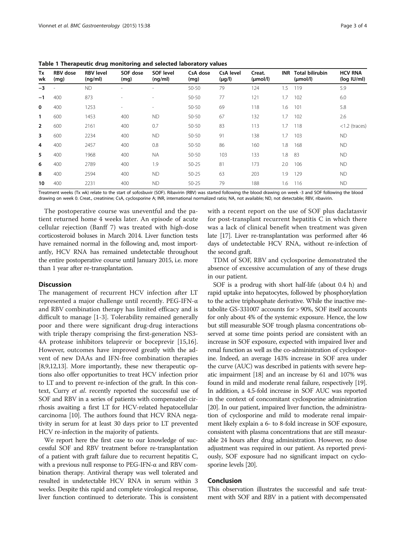| Tx<br>wk       | <b>RBV</b> dose<br>(mq) | <b>RBV level</b><br>(nq/ml) | SOF dose<br>(mg) | <b>SOF level</b><br>(nq/ml) | CsA dose<br>(mq) | <b>CsA</b> level<br>$(\mu g/l)$ | Creat.<br>$(\mu mol/l)$ | <b>INR</b> | <b>Total bilirubin</b><br>$(\mu mol/l)$ | <b>HCV RNA</b><br>$(log$ $ U/m )$ |
|----------------|-------------------------|-----------------------------|------------------|-----------------------------|------------------|---------------------------------|-------------------------|------------|-----------------------------------------|-----------------------------------|
| $-3$           |                         | <b>ND</b>                   |                  |                             | 50-50            | 79                              | 124                     | 1.5        | 119                                     | 5.9                               |
| $-1$           | 400                     | 873                         |                  | $\sim$                      | 50-50            | 77                              | 121                     | 1.7        | 102                                     | 6.0                               |
| 0              | 400                     | 1253                        |                  | ۰                           | 50-50            | 69                              | 118                     | 1.6        | 101                                     | 5.8                               |
| 1              | 600                     | 1453                        | 400              | <b>ND</b>                   | 50-50            | 67                              | 132                     | 1.7        | 102                                     | 2.6                               |
| $\overline{2}$ | 600                     | 2161                        | 400              | 0.7                         | $50 - 50$        | 83                              | 113                     | 1.7        | 118                                     | $<$ 1.2 (traces)                  |
| 3              | 600                     | 2234                        | 400              | <b>ND</b>                   | $50 - 50$        | 91                              | 138                     | 1.7        | 103                                     | ND.                               |
| 4              | 400                     | 2457                        | 400              | 0.8                         | $50 - 50$        | 86                              | 160                     | 1.8        | 168                                     | ND.                               |
| 5              | 400                     | 1968                        | 400              | <b>NA</b>                   | 50-50            | 103                             | 133                     | 1.8        | 83                                      | ND.                               |
| 6              | 400                     | 2789                        | 400              | 1.9                         | $50 - 25$        | 81                              | 173                     | 2.0        | 106                                     | <b>ND</b>                         |
| 8              | 400                     | 2594                        | 400              | <b>ND</b>                   | $50 - 25$        | 63                              | 203                     | 1.9        | 129                                     | ND.                               |
| 10             | 400                     | 2231                        | 400              | <b>ND</b>                   | $50 - 25$        | 79                              | 188                     | 1.6        | 116                                     | ND.                               |

<span id="page-2-0"></span>Table 1 Therapeutic drug monitoring and selected laboratory values

Treatment weeks (Tx wk) relate to the start of sofosbuvir (SOF). Ribavirin (RBV) was started following the blood drawing on week -3 and SOF following the blood drawing on week 0. Creat., creatinine; CsA, cyclosporine A; INR, international normalized ratio; NA, not available; ND, not detectable; RBV, ribavirin.

The postoperative course was uneventful and the patient returned home 4 weeks later. An episode of acute cellular rejection (Banff 7) was treated with high-dose corticosteroid boluses in March 2014. Liver function tests have remained normal in the following and, most importantly, HCV RNA has remained undetectable throughout the entire postoperative course until January 2015, i.e. more than 1 year after re-transplantation.

#### **Discussion**

The management of recurrent HCV infection after LT represented a major challenge until recently. PEG-IFN-α and RBV combination therapy has limited efficacy and is difficult to manage [[1-3\]](#page-3-0). Tolerability remained generally poor and there were significant drug-drug interactions with triple therapy comprising the first-generation NS3- 4A protease inhibitors telaprevir or boceprevir [\[15,16](#page-3-0)]. However, outcomes have improved greatly with the advent of new DAAs and IFN-free combination therapies [[8,9,12,13](#page-3-0)]. More importantly, these new therapeutic options also offer opportunities to treat HCV infection prior to LT and to prevent re-infection of the graft. In this context, Curry et al. recently reported the successful use of SOF and RBV in a series of patients with compensated cirrhosis awaiting a first LT for HCV-related hepatocellular carcinoma [\[10\]](#page-3-0). The authors found that HCV RNA negativity in serum for at least 30 days prior to LT prevented HCV re-infection in the majority of patients.

We report here the first case to our knowledge of successful SOF and RBV treatment before re-transplantation of a patient with graft failure due to recurrent hepatitis C, with a previous null response to PEG-IFN-α and RBV combination therapy. Antiviral therapy was well tolerated and resulted in undetectable HCV RNA in serum within 3 weeks. Despite this rapid and complete virological response, liver function continued to deteriorate. This is consistent

with a recent report on the use of SOF plus daclatasvir for post-transplant recurrent hepatitis C in which there was a lack of clinical benefit when treatment was given late [[17](#page-3-0)]. Liver re-transplantation was performed after 46 days of undetectable HCV RNA, without re-infection of the second graft.

TDM of SOF, RBV and cyclosporine demonstrated the absence of excessive accumulation of any of these drugs in our patient.

SOF is a prodrug with short half-life (about 0.4 h) and rapid uptake into hepatocytes, followed by phosphorylation to the active triphosphate derivative. While the inactive metabolite GS-331007 accounts for > 90%, SOF itself accounts for only about 4% of the systemic exposure. Hence, the low but still measurable SOF trough plasma concentrations observed at some time points period are consistent with an increase in SOF exposure, expected with impaired liver and renal function as well as the co-administration of cyclosporine. Indeed, an average 143% increase in SOF area under the curve (AUC) was described in patients with severe hepatic impairment [\[18\]](#page-3-0) and an increase by 61 and 107% was found in mild and moderate renal failure, respectively [\[19](#page-3-0)]. In addition, a 4.5-fold increase in SOF AUC was reported in the context of concomitant cyclosporine administration [[20](#page-3-0)]. In our patient, impaired liver function, the administration of cyclosporine and mild to moderate renal impairment likely explain a 6- to 8-fold increase in SOF exposure, consistent with plasma concentrations that are still measurable 24 hours after drug administration. However, no dose adjustment was required in our patient. As reported previously, SOF exposure had no significant impact on cyclosporine levels [\[20](#page-3-0)].

#### Conclusion

This observation illustrates the successful and safe treatment with SOF and RBV in a patient with decompensated